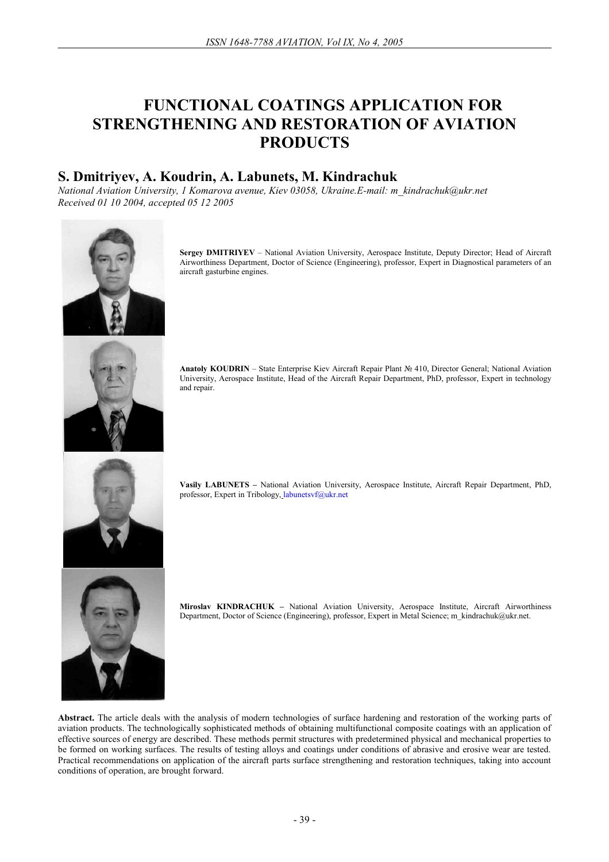# **FUNCTIONAL COATINGS APPLICATION FOR STRENGTHENING AND RESTORATION OF AVIATION PRODUCTS**

# **S. Dmitriyev, A. Koudrin, A. Labunets, M. Kindrachuk**

*National Aviation University, 1 Komarova avenue, Kiev 03058, Ukraine.E-mail: m\_kindrachuk@ukr.net Received 01 10 2004, accepted 05 12 2005* 



**Sergey DMITRIYEV** – National Aviation University, Aerospace Institute, Deputy Director; Head of Aircraft Airworthiness Department, Doctor of Science (Engineering), professor, Expert in Diagnostical parameters of an aircraft gasturbine engines.

**Anatoly KOUDRIN** – State Enterprise Kiev Aircraft Repair Plant № 410, Director General; National Aviation University, Aerospace Institute, Head of the Aircraft Repair Department, PhD, professor, Expert in technology and repair.

**Vasily LABUNETS –** National Aviation University, Aerospace Institute, Aircraft Repair Department, PhD, professor, Expert in Tribology, labunetsvf@ukr.net



**Miroslav KINDRACHUK –** National Aviation University, Aerospace Institute, Aircraft Airworthiness Department, Doctor of Science (Engineering), professor, Expert in Metal Science; m\_kindrachuk@ukr.net.

Abstract. The article deals with the analysis of modern technologies of surface hardening and restoration of the working parts of aviation products. The technologically sophisticated methods of obtaining multifunctional composite coatings with an application of effective sources of energy are described. These methods permit structures with predetermined physical and mechanical properties to be formed on working surfaces. The results of testing alloys and coatings under conditions of abrasive and erosive wear are tested. Practical recommendations on application of the aircraft parts surface strengthening and restoration techniques, taking into account conditions of operation, are brought forward.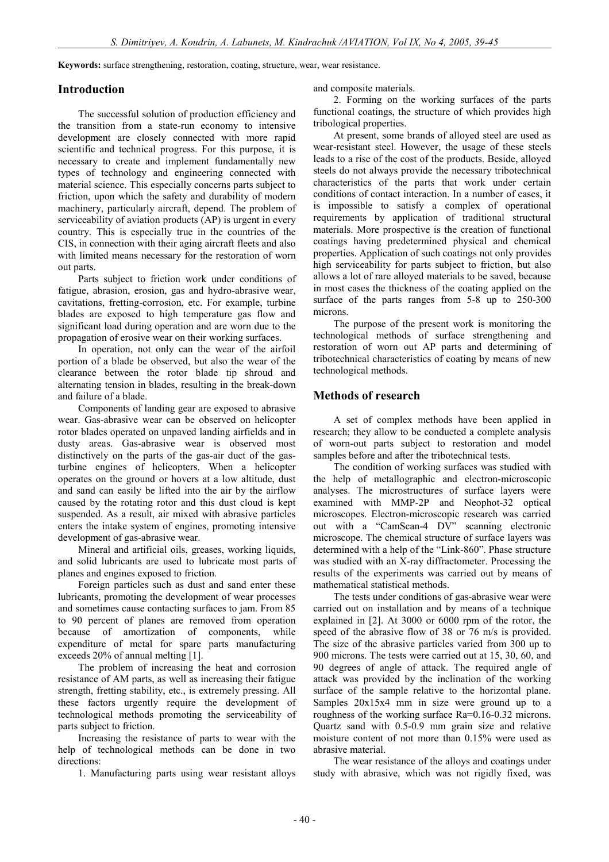**Keywords:** surface strengthening, restoration, coating, structure, wear, wear resistance.

#### **Introduction**

The successful solution of production efficiency and the transition from a state-run economy to intensive development are closely connected with more rapid scientific and technical progress. For this purpose, it is necessary to create and implement fundamentally new types of technology and engineering connected with material science. This especially concerns parts subject to friction, upon which the safety and durability of modern machinery, particularly aircraft, depend. The problem of serviceability of aviation products (AP) is urgent in every country. This is especially true in the countries of the CIS, in connection with their aging aircraft fleets and also with limited means necessary for the restoration of worn out parts.

Parts subject to friction work under conditions of fatigue, abrasion, erosion, gas and hydro-abrasive wear, cavitations, fretting-corrosion, etc. For example, turbine blades are exposed to high temperature gas flow and significant load during operation and are worn due to the propagation of erosive wear on their working surfaces.

In operation, not only can the wear of the airfoil portion of a blade be observed, but also the wear of the clearance between the rotor blade tip shroud and alternating tension in blades, resulting in the break-down and failure of a blade.

Components of landing gear are exposed to abrasive wear. Gas-abrasive wear can be observed on helicopter rotor blades operated on unpaved landing airfields and in dusty areas. Gas-abrasive wear is observed most distinctively on the parts of the gas-air duct of the gasturbine engines of helicopters. When a helicopter operates on the ground or hovers at a low altitude, dust and sand can easily be lifted into the air by the airflow caused by the rotating rotor and this dust cloud is kept suspended. As a result, air mixed with abrasive particles enters the intake system of engines, promoting intensive development of gas-abrasive wear.

Mineral and artificial oils, greases, working liquids, and solid lubricants are used to lubricate most parts of planes and engines exposed to friction.

Foreign particles such as dust and sand enter these lubricants, promoting the development of wear processes and sometimes cause contacting surfaces to jam. From 85 to 90 percent of planes are removed from operation because of amortization of components, while expenditure of metal for spare parts manufacturing exceeds 20% of annual melting [1].

The problem of increasing the heat and corrosion resistance of AM parts, as well as increasing their fatigue strength, fretting stability, etc., is extremely pressing. All these factors urgently require the development of technological methods promoting the serviceability of parts subject to friction.

Increasing the resistance of parts to wear with the help of technological methods can be done in two directions:

1. Manufacturing parts using wear resistant alloys

and composite materials.

2. Forming on the working surfaces of the parts functional coatings, the structure of which provides high tribological properties.

At present, some brands of alloyed steel are used as wear-resistant steel. However, the usage of these steels leads to a rise of the cost of the products. Beside, alloyed steels do not always provide the necessary tribotechnical characteristics of the parts that work under certain conditions of contact interaction. In a number of cases, it is impossible to satisfy a complex of operational requirements by application of traditional structural materials. More prospective is the creation of functional coatings having predetermined physical and chemical properties. Application of such coatings not only provides high serviceability for parts subject to friction, but also allows a lot of rare alloyed materials to be saved, because in most cases the thickness of the coating applied on the surface of the parts ranges from 5-8 up to 250-300 microns.

The purpose of the present work is monitoring the technological methods of surface strengthening and restoration of worn out AP parts and determining of tribotechnical characteristics of coating by means of new technological methods.

#### **Methods of research**

A set of complex methods have been applied in research; they allow to be conducted a complete analysis of worn-out parts subject to restoration and model samples before and after the tribotechnical tests.

The condition of working surfaces was studied with the help of metallographic and electron-microscopic analyses. The microstructures of surface layers were examined with MMP-2P and Neophot-32 optical microscopes. Electron-microscopic research was carried out with a "CamScan-4 DV" scanning electronic microscope. The chemical structure of surface layers was determined with a help of the "Link-860". Phase structure was studied with an X-ray diffractometer. Processing the results of the experiments was carried out by means of mathematical statistical methods.

The tests under conditions of gas-abrasive wear were carried out on installation and by means of a technique explained in [2]. At 3000 or 6000 rpm of the rotor, the speed of the abrasive flow of 38 or 76 m/s is provided. The size of the abrasive particles varied from 300 up to 900 microns. The tests were carried out at 15, 30, 60, and 90 degrees of angle of attack. The required angle of attack was provided by the inclination of the working surface of the sample relative to the horizontal plane. Samples 20x15x4 mm in size were ground up to a roughness of the working surface Rа=0.16-0.32 microns. Quartz sand with 0.5-0.9 mm grain size and relative moisture content of not more than 0.15% were used as abrasive material.

The wear resistance of the alloys and coatings under study with abrasive, which was not rigidly fixed, was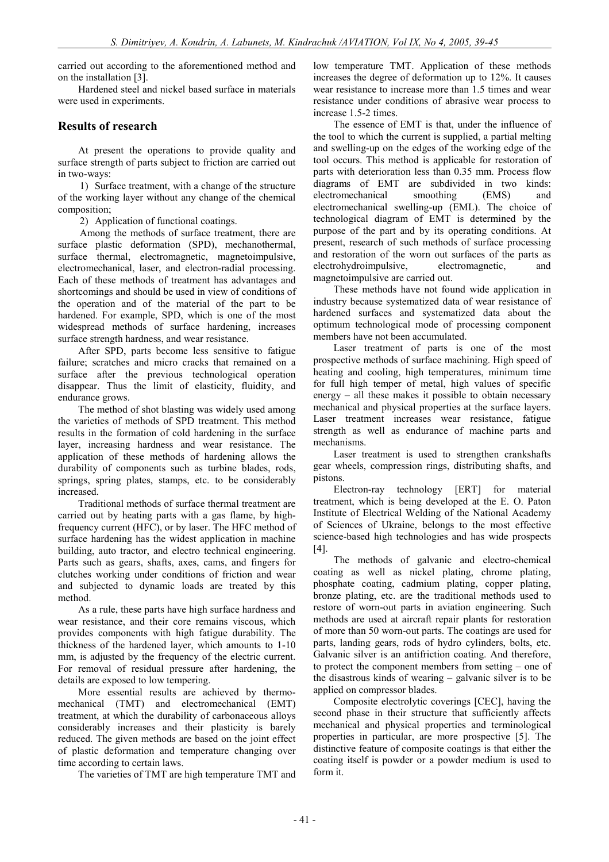carried out according to the aforementioned method and on the installation [3].

Hardened steel and nickel based surface in materials were used in experiments.

### **Results of research**

At present the operations to provide quality and surface strength of parts subject to friction are carried out in two-ways:

1) Surface treatment, with a change of the structure of the working layer without any change of the chemical composition;

2) Application of functional coatings.

Among the methods of surface treatment, there are surface plastic deformation (SPD), mechanothermal, surface thermal, electromagnetic, magnetoimpulsive, electromechanical, laser, and electron-radial processing. Each of these methods of treatment has advantages and shortcomings and should be used in view of conditions of the operation and of the material of the part to be hardened. For example, SPD, which is one of the most widespread methods of surface hardening, increases surface strength hardness, and wear resistance.

After SPD, parts become less sensitive to fatigue failure; scratches and micro cracks that remained on a surface after the previous technological operation disappear. Thus the limit of elasticity, fluidity, and endurance grows.

The method of shot blasting was widely used among the varieties of methods of SPD treatment. This method results in the formation of cold hardening in the surface layer, increasing hardness and wear resistance. The application of these methods of hardening allows the durability of components such as turbine blades, rods, springs, spring plates, stamps, etc. to be considerably increased.

Traditional methods of surface thermal treatment are carried out by heating parts with a gas flame, by highfrequency current (HFC), or by laser. The HFC method of surface hardening has the widest application in machine building, auto tractor, and electro technical engineering. Parts such as gears, shafts, axes, cams, and fingers for clutches working under conditions of friction and wear and subjected to dynamic loads are treated by this method.

As a rule, these parts have high surface hardness and wear resistance, and their core remains viscous, which provides components with high fatigue durability. The thickness of the hardened layer, which amounts to 1-10 mm, is adjusted by the frequency of the electric current. For removal of residual pressure after hardening, the details are exposed to low tempering.

More essential results are achieved by thermomechanical (TMT) and electromechanical (EMT) treatment, at which the durability of carbonaceous alloys considerably increases and their plasticity is barely reduced. The given methods are based on the joint effect of plastic deformation and temperature changing over time according to certain laws.

The varieties of TMT are high temperature TMT and

low temperature TMT. Application of these methods increases the degree of deformation up to 12%. It causes wear resistance to increase more than 1.5 times and wear resistance under conditions of abrasive wear process to increase 1.5-2 times.

The essence of EMT is that, under the influence of the tool to which the current is supplied, a partial melting and swelling-up on the edges of the working edge of the tool occurs. This method is applicable for restoration of parts with deterioration less than 0.35 mm. Process flow diagrams of EMT are subdivided in two kinds: electromechanical smoothing (EMS) and electromechanical swelling-up (EML). The choice of technological diagram of EMT is determined by the purpose of the part and by its operating conditions. At present, research of such methods of surface processing and restoration of the worn out surfaces of the parts as electrohydroimpulsive, electromagnetic, and magnetoimpulsive are carried out.

These methods have not found wide application in industry because systematized data of wear resistance of hardened surfaces and systematized data about the optimum technological mode of processing component members have not been accumulated.

Laser treatment of parts is one of the most prospective methods of surface machining. High speed of heating and cooling, high temperatures, minimum time for full high temper of metal, high values of specific energy – all these makes it possible to obtain necessary mechanical and physical properties at the surface layers. Laser treatment increases wear resistance, fatigue strength as well as endurance of machine parts and mechanisms.

Laser treatment is used to strengthen crankshafts gear wheels, compression rings, distributing shafts, and pistons.

Electron-ray technology [ERT] for material treatment, which is being developed at the E. O. Paton Institute of Electrical Welding of the National Academy of Sciences of Ukraine, belongs to the most effective science-based high technologies and has wide prospects [4].

The methods of galvanic and electro-chemical coating as well as nickel plating, chrome plating, phosphate coating, cadmium plating, copper plating, bronze plating, etc. are the traditional methods used to restore of worn-out parts in aviation engineering. Such methods are used at aircraft repair plants for restoration of more than 50 worn-out parts. The coatings are used for parts, landing gears, rods of hydro cylinders, bolts, etc. Galvanic silver is an antifriction coating. And therefore, to protect the component members from setting – one of the disastrous kinds of wearing – galvanic silver is to be applied on compressor blades.

Composite electrolytic coverings [CEC], having the second phase in their structure that sufficiently affects mechanical and physical properties and terminological properties in particular, are more prospective [5]. The distinctive feature of composite coatings is that either the coating itself is powder or a powder medium is used to form it.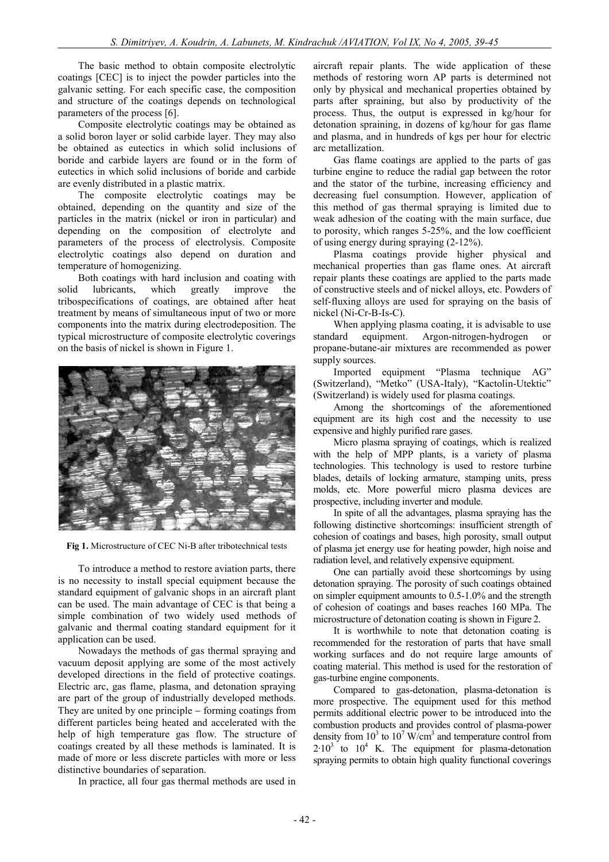The basic method to obtain composite electrolytic coatings [CEC] is to inject the powder particles into the galvanic setting. For each specific case, the composition and structure of the coatings depends on technological parameters of the process [6].

Composite electrolytic coatings may be obtained as a solid boron layer or solid carbide layer. They may also be obtained as eutectics in which solid inclusions of boride and carbide layers are found or in the form of eutectics in which solid inclusions of boride and carbide are evenly distributed in a plastic matrix.

The composite electrolytic coatings may be obtained, depending on the quantity and size of the particles in the matrix (nickel or iron in particular) and depending on the composition of electrolyte and parameters of the process of electrolysis. Composite electrolytic coatings also depend on duration and temperature of homogenizing.

Both coatings with hard inclusion and coating with solid lubricants, which greatly improve the tribospecifications of coatings, are obtained after heat treatment by means of simultaneous input of two or more components into the matrix during electrodeposition. The typical microstructure of composite electrolytic coverings on the basis of nickel is shown in Figure 1.



**Fig 1.** Microstructure of CEC Ni-B after tribotechnical tests

To introduce a method to restore aviation parts, there is no necessity to install special equipment because the standard equipment of galvanic shops in an aircraft plant can be used. The main advantage of CEC is that being a simple combination of two widely used methods of galvanic and thermal coating standard equipment for it application can be used.

Nowadays the methods of gas thermal spraying and vacuum deposit applying are some of the most actively developed directions in the field of protective coatings. Electric arc, gas flame, plasma, and detonation spraying are part of the group of industrially developed methods. They are united by one principle – forming coatings from different particles being heated and accelerated with the help of high temperature gas flow. The structure of coatings created by all these methods is laminated. It is made of more or less discrete particles with more or less distinctive boundaries of separation.

In practice, all four gas thermal methods are used in

aircraft repair plants. The wide application of these methods of restoring worn AP parts is determined not only by physical and mechanical properties obtained by parts after spraining, but also by productivity of the process. Thus, the output is expressed in kg/hour for detonation spraining, in dozens of kg/hour for gas flame and plasma, and in hundreds of kgs per hour for electric arc metallization.

Gas flame coatings are applied to the parts of gas turbine engine to reduce the radial gap between the rotor and the stator of the turbine, increasing efficiency and decreasing fuel consumption. However, application of this method of gas thermal spraying is limited due to weak adhesion of the coating with the main surface, due to porosity, which ranges 5-25%, and the low coefficient of using energy during spraying (2-12%).

Plasma coatings provide higher physical and mechanical properties than gas flame ones. At aircraft repair plants these coatings are applied to the parts made of constructive steels and of nickel alloys, etc. Powders of self-fluxing alloys are used for spraying on the basis of nickel (Ni-Cr-B-Is-C).

When applying plasma coating, it is advisable to use standard equipment. Argon-nitrogen-hydrogen or propane-butane-air mixtures are recommended as power supply sources.

Imported equipment "Plasma technique АG" (Switzerland), "Metko" (USA-Italy), "Kactolin-Utektic" (Switzerland) is widely used for plasma coatings.

Among the shortcomings of the aforementioned equipment are its high cost and the necessity to use expensive and highly purified rare gases.

Micro plasma spraying of coatings, which is realized with the help of MPP plants, is a variety of plasma technologies. This technology is used to restore turbine blades, details of locking armature, stamping units, press molds, etc. More powerful micro plasma devices are prospective, including inverter and module.

In spite of all the advantages, plasma spraying has the following distinctive shortcomings: insufficient strength of cohesion of coatings and bases, high porosity, small output of plasma jet energy use for heating powder, high noise and radiation level, and relatively expensive equipment.

One can partially avoid these shortcomings by using detonation spraying. The porosity of such coatings obtained on simpler equipment amounts to 0.5-1.0% and the strength of cohesion of coatings and bases reaches 160 MРa. The microstructure of detonation coating is shown in Figure 2.

It is worthwhile to note that detonation coating is recommended for the restoration of parts that have small working surfaces and do not require large amounts of coating material. This method is used for the restoration of gas-turbine engine components.

Compared to gas-detonation, plasma-detonation is more prospective. The equipment used for this method permits additional electric power to be introduced into the combustion products and provides control of plasma-power density from  $10^3$  to  $10^7$  W/cm<sup>3</sup> and temperature control from  $2.10<sup>3</sup>$  to  $10<sup>4</sup>$  K. The equipment for plasma-detonation spraying permits to obtain high quality functional coverings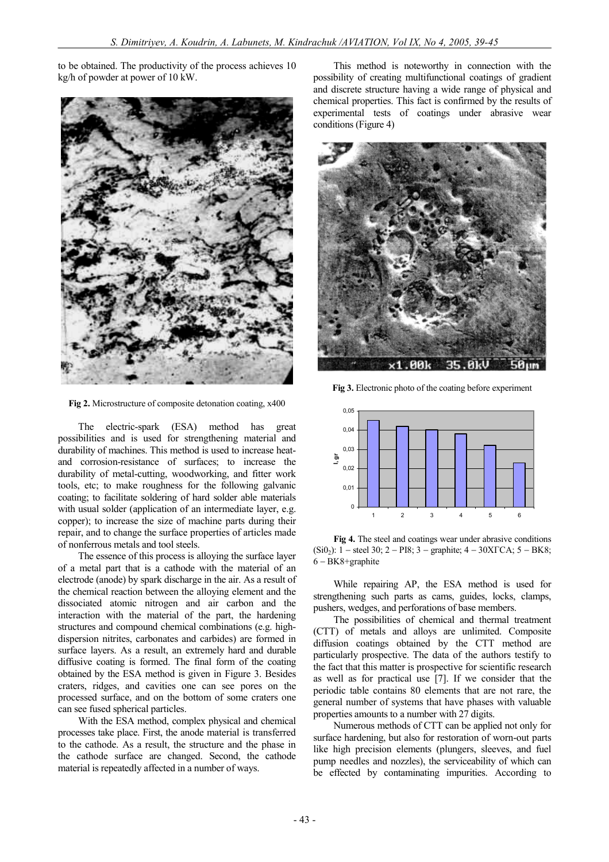to be obtained. The productivity of the process achieves 10 kg/h of powder at power of 10 kW.



**Fig 2.** Microstructure of composite detonation coating, x400

The electric-spark (ESA) method has great possibilities and is used for strengthening material and durability of machines. This method is used to increase heatand corrosion-resistance of surfaces; to increase the durability of metal-cutting, woodworking, and fitter work tools, etc; to make roughness for the following galvanic coating; to facilitate soldering of hard solder able materials with usual solder (application of an intermediate layer, e.g. copper); to increase the size of machine parts during their repair, and to change the surface properties of articles made of nonferrous metals and tool steels.

The essence of this process is alloying the surface layer of a metal part that is a cathode with the material of an electrode (anode) by spark discharge in the air. As a result of the chemical reaction between the alloying element and the dissociated atomic nitrogen and air carbon and the interaction with the material of the part, the hardening structures and compound chemical combinations (e.g. highdispersion nitrites, carbonates and carbides) are formed in surface layers. As a result, an extremely hard and durable diffusive coating is formed. The final form of the coating obtained by the ESA method is given in Figure 3. Besides craters, ridges, and cavities one can see pores on the processed surface, and on the bottom of some craters one can see fused spherical particles.

With the ESA method, complex physical and chemical processes take place. First, the anode material is transferred to the cathode. As a result, the structure and the phase in the cathode surface are changed. Second, the cathode material is repeatedly affected in a number of ways.

This method is noteworthy in connection with the possibility of creating multifunctional coatings of gradient and discrete structure having a wide range of physical and chemical properties. This fact is confirmed by the results of experimental tests of coatings under abrasive wear conditions (Figure 4)



**Fig 3.** Electronic photo of the coating before experiment



**Fig 4.** The steel and coatings wear under abrasive conditions  $(Si0<sub>2</sub>)$ : 1 – steel 30; 2 – PI8; 3 – graphite; 4 – 30XTCA; 5 – BK8; 6 - BK8+graphite

While repairing AP, the ESA method is used for strengthening such parts as cams, guides, locks, clamps, pushers, wedges, and perforations of base members.

The possibilities of chemical and thermal treatment (CTT) of metals and alloys are unlimited. Composite diffusion coatings obtained by the CTT method are particularly prospective. The data of the authors testify to the fact that this matter is prospective for scientific research as well as for practical use [7]. If we consider that the periodic table contains 80 elements that are not rare, the general number of systems that have phases with valuable properties amounts to a number with 27 digits.

Numerous methods of CTT can be applied not only for surface hardening, but also for restoration of worn-out parts like high precision elements (plungers, sleeves, and fuel pump needles and nozzles), the serviceability of which can be effected by contaminating impurities. According to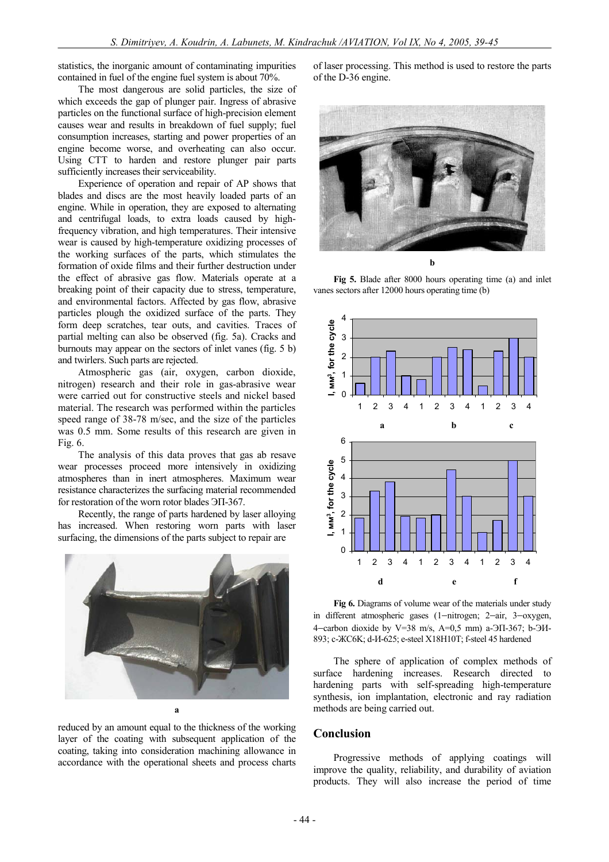statistics, the inorganic amount of contaminating impurities contained in fuel of the engine fuel system is about 70%.

The most dangerous are solid particles, the size of which exceeds the gap of plunger pair. Ingress of abrasive particles on the functional surface of high-precision element causes wear and results in breakdown of fuel supply; fuel consumption increases, starting and power properties of an engine become worse, and overheating can also occur. Using CTT to harden and restore plunger pair parts sufficiently increases their serviceability.

Experience of operation and repair of AP shows that blades and discs are the most heavily loaded parts of an engine. While in operation, they are exposed to alternating and centrifugal loads, to extra loads caused by highfrequency vibration, and high temperatures. Their intensive wear is caused by high-temperature oxidizing processes of the working surfaces of the parts, which stimulates the formation of oxide films and their further destruction under the effect of abrasive gas flow. Materials operate at a breaking point of their capacity due to stress, temperature, and environmental factors. Affected by gas flow, abrasive particles plough the oxidized surface of the parts. They form deep scratches, tear outs, and cavities. Traces of partial melting can also be observed (fig. 5a). Cracks and burnouts may appear on the sectors of inlet vanes (fig. 5 b) and twirlers. Such parts are rejected.

Atmospheric gas (air, oxygen, carbon dioxide, nitrogen) research and their role in gas-abrasive wear were carried out for constructive steels and nickel based material. The research was performed within the particles speed range of 38-78 m/sec, and the size of the particles was 0.5 mm. Some results of this research are given in Fig. 6.

The analysis of this data proves that gas ab resave wear processes proceed more intensively in oxidizing atmospheres than in inert atmospheres. Maximum wear resistance characterizes the surfacing material recommended for restoration of the worn rotor blades ЭП-367.

Recently, the range of parts hardened by laser alloying has increased. When restoring worn parts with laser surfacing, the dimensions of the parts subject to repair are



reduced by an amount equal to the thickness of the working layer of the coating with subsequent application of the coating, taking into consideration machining allowance in accordance with the operational sheets and process charts

of laser processing. This method is used to restore the parts of the D-36 engine.



**Fig 5.** Blade after 8000 hours operating time (a) and inlet vanes sectors after 12000 hours operating time (b)



**Fig 6.** Diagrams of volume wear of the materials under study in different atmospheric gases (1-nitrogen; 2-air, 3-oxygen, 4-carbon dioxide by V=38 m/s, A=0,5 mm) a-ЭП-367; b-ЭИ-893; с-ЖC6K; d-И-625; e-steel X18H10T; f-steel 45 hardened

The sphere of application of complex methods of surface hardening increases. Research directed to hardening parts with self-spreading high-temperature synthesis, ion implantation, electronic and ray radiation methods are being carried out.

#### **Conclusion**

Progressive methods of applying coatings will improve the quality, reliability, and durability of aviation products. They will also increase the period of time